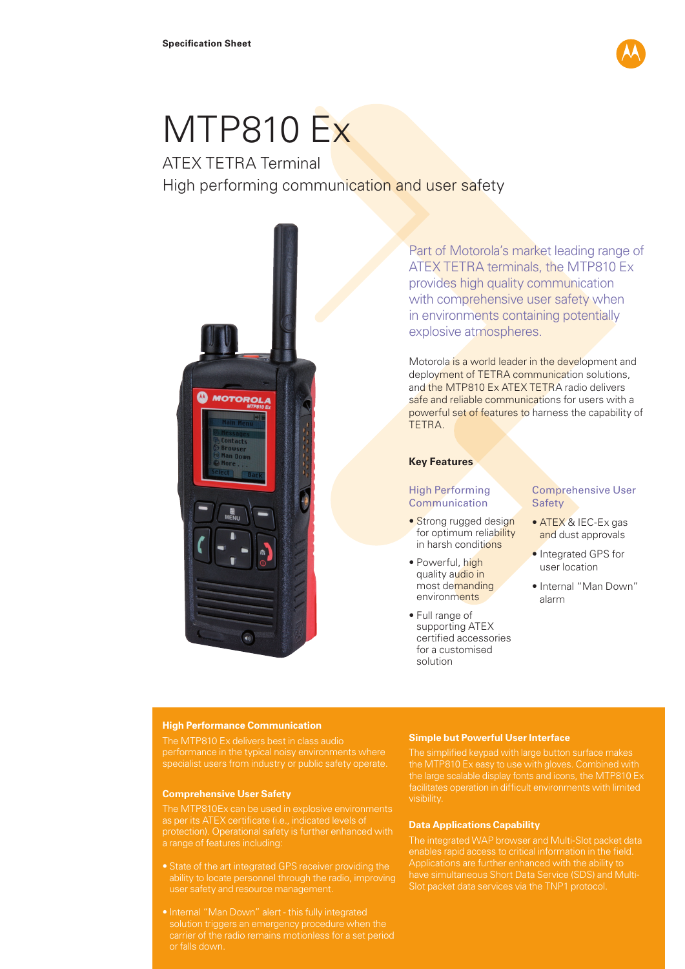

# MTP810 Ex

## ATEX TETRA Terminal High performing communication and user safety



Part of Motorola's market leading range of ATEX TETRA terminals, the MTP810 Ex provides high quality communication with comprehensive user safety when in environments containing potentially explosive atmospheres.

Motorola is a world leader in the development and deployment of TETRA communication solutions, and the MTP810 Ex ATEX TETRA radio delivers safe and reliable communications for users with a powerful set of features to harness the capability of **TFTRA** 

## **Key Features**

## High Performing Communication

- Strong rugged design for optimum reliability in harsh conditions
- Powerful, high quality audio in most demanding environments
- Full range of supporting ATEX certified accessories for a customised solution

## Comprehensive User **Safety**

- ATEX & IEC-Ex gas and dust approvals
- Integrated GPS for user location
- Internal "Man Down" alarm

## **High Performance Communication**

performance in the typical noisy environments where

#### **Comprehensive User Safety**

a range of features including:

- 
- or falls down.

## **Simple but Powerful User Interface**

The simplified keypad with large button surface makes the large scalable display fonts and icons, the MTP810 Ex

## **Data Applications Capability**